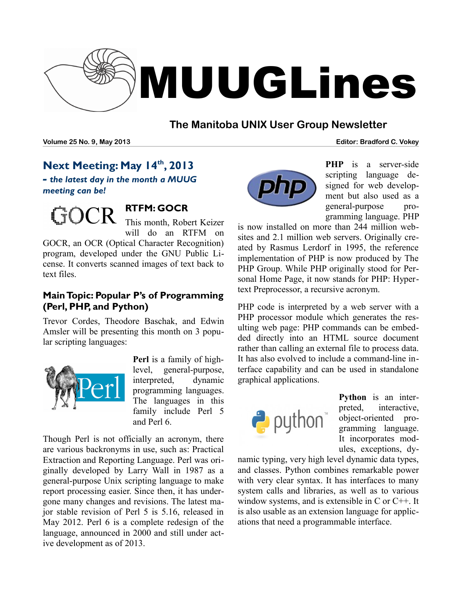

## **The Manitoba UNIX User Group Newsletter**

**Volume 25 No. 9, May 2013 Editor: Bradford C. Vokey**

# **Next Meeting: May 14th, 2013**

*- the latest day in the month a MUUG meeting can be!*



# **RTFM: GOCR**

This month, Robert Keizer will do an RTFM on

GOCR, an OCR (Optical Character Recognition) program, developed under the GNU Public License. It converts scanned images of text back to text files.

### **Main Topic: Popular P's of Programming (Perl, PHP, and Python)**

Trevor Cordes, Theodore Baschak, and Edwin Amsler will be presenting this month on 3 popular scripting languages:



**Perl** is a family of highlevel, general-purpose, interpreted, dynamic programming languages. The languages in this family include Perl 5 and Perl 6.

Though Perl is not officially an acronym, there are various backronyms in use, such as: Practical Extraction and Reporting Language. Perl was originally developed by Larry Wall in 1987 as a general-purpose Unix scripting language to make report processing easier. Since then, it has undergone many changes and revisions. The latest major stable revision of Perl 5 is 5.16, released in May 2012. Perl 6 is a complete redesign of the language, announced in 2000 and still under active development as of 2013.



**PHP** is a server-side scripting language designed for web development but also used as a general-purpose programming language. PHP

is now installed on more than 244 million websites and 2.1 million web servers. Originally created by Rasmus Lerdorf in 1995, the reference implementation of PHP is now produced by The PHP Group. While PHP originally stood for Personal Home Page, it now stands for PHP: Hypertext Preprocessor, a recursive acronym.

PHP code is interpreted by a web server with a PHP processor module which generates the resulting web page: PHP commands can be embedded directly into an HTML source document rather than calling an external file to process data. It has also evolved to include a command-line interface capability and can be used in standalone graphical applications.



**Python** is an interpreted, interactive, object-oriented programming language. It incorporates modules, exceptions, dy-

namic typing, very high level dynamic data types, and classes. Python combines remarkable power with very clear syntax. It has interfaces to many system calls and libraries, as well as to various window systems, and is extensible in C or C++. It is also usable as an extension language for applications that need a programmable interface.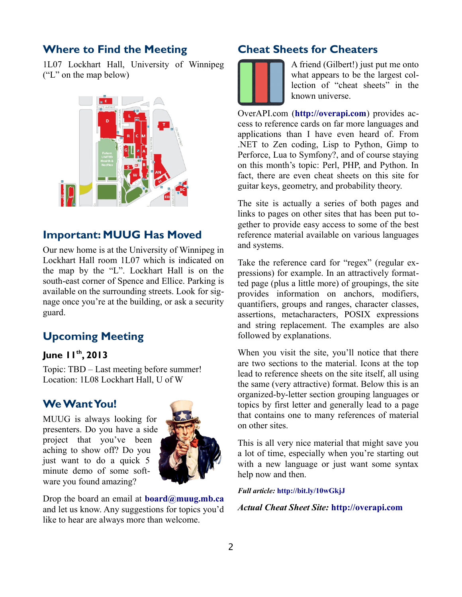#### **Where to Find the Meeting**

1L07 Lockhart Hall, University of Winnipeg ("L" on the map below)



### **Important: MUUG Has Moved**

Our new home is at the University of Winnipeg in Lockhart Hall room 1L07 which is indicated on the map by the "L". Lockhart Hall is on the south-east corner of Spence and Ellice. Parking is available on the surrounding streets. Look for signage once you're at the building, or ask a security guard.

# **Upcoming Meeting**

#### **June 11th, 2013**

Topic: TBD – Last meeting before summer! Location: 1L08 Lockhart Hall, U of W

#### **We Want You!**

MUUG is always looking for presenters. Do you have a side project that you've been aching to show off? Do you just want to do a quick 5 minute demo of some software you found amazing?



Drop the board an email at **[board@muug.mb.ca](mailto:board@muug.mb.ca)** and let us know. Any suggestions for topics you'd like to hear are always more than welcome.

#### **Cheat Sheets for Cheaters**



A friend (Gilbert!) just put me onto what appears to be the largest collection of "cheat sheets" in the known universe.

OverAPI.com (**[http://overapi.com](http://overapi.com/)**) provides access to reference cards on far more languages and applications than I have even heard of. From .NET to Zen coding, Lisp to Python, Gimp to Perforce, Lua to Symfony?, and of course staying on this month's topic: Perl, PHP, and Python. In fact, there are even cheat sheets on this site for guitar keys, geometry, and probability theory.

The site is actually a series of both pages and links to pages on other sites that has been put together to provide easy access to some of the best reference material available on various languages and systems.

Take the reference card for "regex" (regular expressions) for example. In an attractively formatted page (plus a little more) of groupings, the site provides information on anchors, modifiers, quantifiers, groups and ranges, character classes, assertions, metacharacters, POSIX expressions and string replacement. The examples are also followed by explanations.

When you visit the site, you'll notice that there are two sections to the material. Icons at the top lead to reference sheets on the site itself, all using the same (very attractive) format. Below this is an organized-by-letter section grouping languages or topics by first letter and generally lead to a page that contains one to many references of material on other sites.

This is all very nice material that might save you a lot of time, especially when you're starting out with a new language or just want some syntax help now and then.

*Full article:* **<http://bit.ly/10wGkjJ>**

*Actual Cheat Sheet Site:* **http://overapi.com**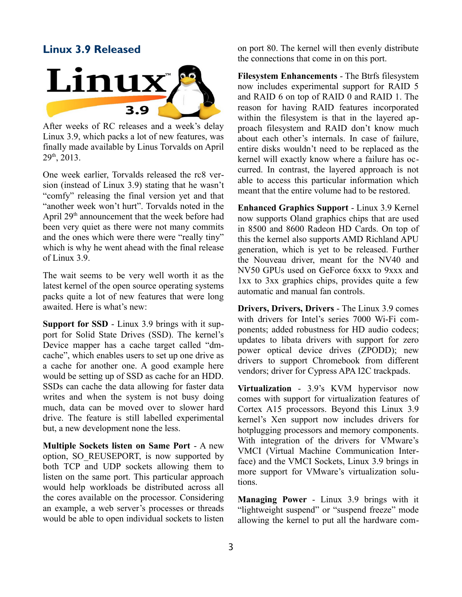#### **Linux 3.9 Released**



After weeks of RC releases and a week's delay Linux 3.9, which packs a lot of new features, was finally made available by Linus Torvalds on April  $29<sup>th</sup>$ , 2013.

One week earlier, Torvalds released the rc8 version (instead of Linux 3.9) stating that he wasn't "comfy" releasing the final version yet and that "another week won't hurt". Torvalds noted in the April 29<sup>th</sup> announcement that the week before had been very quiet as there were not many commits and the ones which were there were "really tiny" which is why he went ahead with the final release of Linux 3.9.

The wait seems to be very well worth it as the latest kernel of the open source operating systems packs quite a lot of new features that were long awaited. Here is what's new:

**Support for SSD** - Linux 3.9 brings with it support for Solid State Drives (SSD). The kernel's Device mapper has a cache target called "dmcache", which enables users to set up one drive as a cache for another one. A good example here would be setting up of SSD as cache for an HDD. SSDs can cache the data allowing for faster data writes and when the system is not busy doing much, data can be moved over to slower hard drive. The feature is still labelled experimental but, a new development none the less.

**Multiple Sockets listen on Same Port** - A new option, SO\_REUSEPORT, is now supported by both TCP and UDP sockets allowing them to listen on the same port. This particular approach would help workloads be distributed across all the cores available on the processor. Considering an example, a web server's processes or threads would be able to open individual sockets to listen

on port 80. The kernel will then evenly distribute the connections that come in on this port.

**Filesystem Enhancements** - The Btrfs filesystem now includes experimental support for RAID 5 and RAID 6 on top of RAID 0 and RAID 1. The reason for having RAID features incorporated within the filesystem is that in the layered approach filesystem and RAID don't know much about each other's internals. In case of failure, entire disks wouldn't need to be replaced as the kernel will exactly know where a failure has occurred. In contrast, the layered approach is not able to access this particular information which meant that the entire volume had to be restored.

**Enhanced Graphics Support** - Linux 3.9 Kernel now supports Oland graphics chips that are used in 8500 and 8600 Radeon HD Cards. On top of this the kernel also supports AMD Richland APU generation, which is yet to be released. Further the Nouveau driver, meant for the NV40 and NV50 GPUs used on GeForce 6xxx to 9xxx and 1xx to 3xx graphics chips, provides quite a few automatic and manual fan controls.

**Drivers, Drivers, Drivers** - The Linux 3.9 comes with drivers for Intel's series 7000 Wi-Fi components; added robustness for HD audio codecs; updates to libata drivers with support for zero power optical device drives (ZPODD); new drivers to support Chromebook from different vendors; driver for Cypress APA I2C trackpads.

**Virtualization** - 3.9's KVM hypervisor now comes with support for virtualization features of Cortex A15 processors. Beyond this Linux 3.9 kernel's Xen support now includes drivers for hotplugging processors and memory components. With integration of the drivers for VMware's VMCI (Virtual Machine Communication Interface) and the VMCI Sockets, Linux 3.9 brings in more support for VMware's virtualization solutions.

**Managing Power** - Linux 3.9 brings with it "lightweight suspend" or "suspend freeze" mode allowing the kernel to put all the hardware com